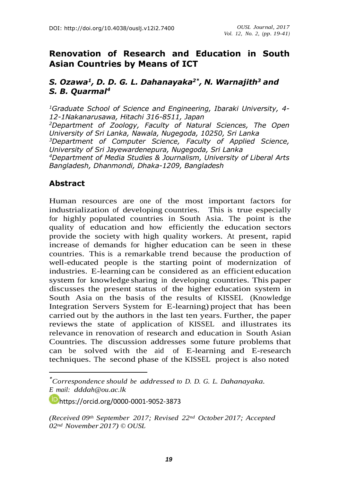## **Renovation of Research and Education in South Asian Countries by Means of ICT**

#### *S. Ozawa 1 , D. D. G. L. Dahanayaka2\* , N. Warnajith<sup>3</sup> and S. B. Quarmal 4*

*<sup>1</sup>Graduate School of Science and Engineering, Ibaraki University, 4- 12-1Nakanarusawa, Hitachi 316-8511, Japan <sup>2</sup>Department of Zoology, Faculty of Natural Sciences, The Open University of Sri Lanka, Nawala, Nugegoda, 10250, Sri Lanka <sup>3</sup>Department of Computer Science, Faculty of Applied Science, University of Sri Jayewardenepura, Nugegoda, Sri Lanka <sup>4</sup>Department of Media Studies & Journalism, University of Liberal Arts Bangladesh, Dhanmondi, Dhaka-1209, Bangladesh*

#### **Abstract**

Human resources are one of the most important factors for industrialization of developing countries. This is true especially for highly populated countries in South Asia. The point is the quality of education and how efficiently the education sectors provide the society with high quality workers. At present, rapid increase of demands for higher education can be seen in these countries. This is a remarkable trend because the production of well-educated people is the starting point of modernization of industries. E-learning can be considered as an efficient education system for knowledge sharing in developing countries. This paper discusses the present status of the higher education system in South Asia on the basis of the results of KISSEL (Knowledge Integration Servers System for E-learning) project that has been carried out by the authors in the last ten years. Further, the paper reviews the state of application of KISSEL and illustrates its relevance in renovation of research and education in South Asian Countries. The discussion addresses some future problems that can be solved with the aid of E-learning and E-research techniques. The second phase of the KISSEL project is also noted

<https://orcid.org/>[0000-0001-9052-3873](http://orcid.org/0000-0001-9052-3873)

*<sup>\*</sup>Correspondence should be addressed to D. D. G. L. Dahanayaka. E mail: [dddah@ou.ac.lk](mailto:dddah@ou.ac.lk)*

*<sup>(</sup>Received 09th September 2017; Revised 22nd October 2017; Accepted 02nd November 2017) © OUSL*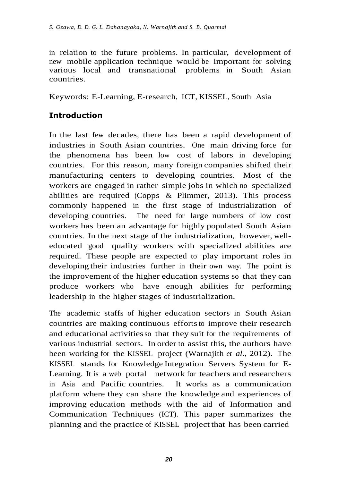in relation to the future problems. In particular, development of new mobile application technique would be important for solving various local and transnational problems in South Asian countries.

Keywords: E-Learning, E-research, ICT, KISSEL, South Asia

## **Introduction**

In the last few decades, there has been a rapid development of industries in South Asian countries. One main driving force for the phenomena has been low cost of labors in developing countries. For this reason, many foreign companies shifted their manufacturing centers to developing countries. Most of the workers are engaged in rather simple jobs in which no specialized abilities are required (Copps & Plimmer, 2013). This process commonly happened in the first stage of industrialization of developing countries. The need for large numbers of low cost workers has been an advantage for highly populated South Asian countries. In the next stage of the industrialization, however, welleducated good quality workers with specialized abilities are required. These people are expected to play important roles in developing their industries further in their own way. The point is the improvement of the higher education systems so that they can produce workers who have enough abilities for performing leadership in the higher stages of industrialization.

The academic staffs of higher education sectors in South Asian countries are making continuous efforts to improve their research and educational activitiesso that they suit for the requirements of various industrial sectors. In order to assist this, the authors have been working for the KISSEL project (Warnajith *et al*., 2012). The KISSEL stands for Knowledge Integration Servers System for E-Learning. It is a web portal network for teachers and researchers in Asia and Pacific countries. It works as a communication platform where they can share the knowledge and experiences of improving education methods with the aid of Information and Communication Techniques (ICT). This paper summarizes the planning and the practice of KISSEL project that has been carried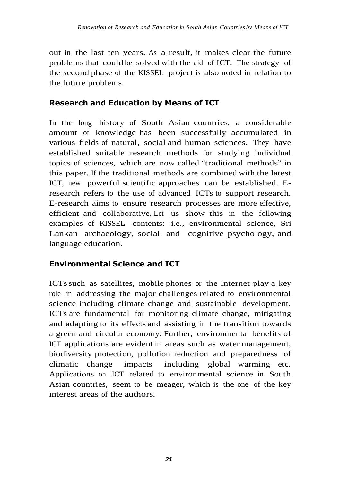out in the last ten years. As a result, it makes clear the future problemsthat could be solved with the aid of ICT. The strategy of the second phase of the KISSEL project is also noted in relation to the future problems.

## **Research and Education by Means of ICT**

In the long history of South Asian countries, a considerable amount of knowledge has been successfully accumulated in various fields of natural, social and human sciences. They have established suitable research methods for studying individual topics of sciences, which are now called "traditional methods" in this paper. If the traditional methods are combined with the latest ICT, new powerful scientific approaches can be established. Eresearch refers to the use of advanced ICTs to support research. E-research aims to ensure research processes are more effective, efficient and collaborative. Let us show this in the following examples of KISSEL contents: i.e., environmental science, Sri Lankan archaeology, social and cognitive psychology, and language education.

# **Environmental Science and ICT**

ICTssuch as satellites, mobile phones or the Internet play a key role in addressing the major challenges related to environmental science including climate change and sustainable development. ICTs are fundamental for monitoring climate change, mitigating and adapting to its effects and assisting in the transition towards a green and circular economy. Further, environmental benefits of ICT applications are evident in areas such as water management, biodiversity protection, pollution reduction and preparedness of climatic change impacts including global warming etc. Applications on ICT related to environmental science in South Asian countries, seem to be meager, which is the one of the key interest areas of the authors.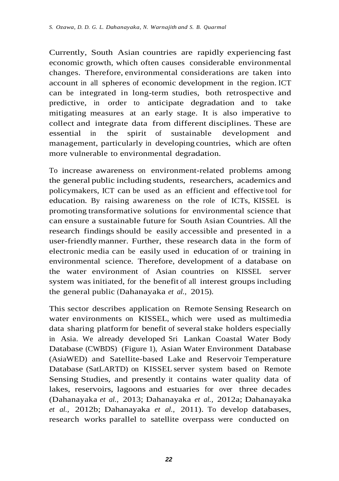Currently, South Asian countries are rapidly experiencing fast economic growth, which often causes considerable environmental changes. Therefore, environmental considerations are taken into account in all spheres of economic development in the region. ICT can be integrated in long-term studies, both retrospective and predictive, in order to anticipate degradation and to take mitigating measures at an early stage. It is also imperative to collect and integrate data from different disciplines. These are essential in the spirit of sustainable development and management, particularly in developing countries, which are often more vulnerable to environmental degradation.

To increase awareness on environment-related problems among the general public including students, researchers, academics and policymakers, ICT can be used as an efficient and effective tool for education. By raising awareness on the role of ICTs, KISSEL is promoting transformative solutions for environmental science that can ensure a sustainable future for South Asian Countries. All the research findings should be easily accessible and presented in a user-friendlymanner. Further, these research data in the form of electronic media can be easily used in education of or training in environmental science. Therefore, development of a database on the water environment of Asian countries on KISSEL server system was initiated, for the benefit of all interest groups including the general public (Dahanayaka *et al.,* 2015).

This sector describes application on Remote Sensing Research on water environments on KISSEL, which were used as multimedia data sharing platform for benefit of several stake holders especially in Asia. We already developed Sri Lankan Coastal Water Body Database (CWBDS) (Figure 1), Asian Water Environment Database (AsiaWED) and Satellite-based Lake and Reservoir Temperature Database (SatLARTD) on KISSEL server system based on Remote Sensing Studies, and presently it contains water quality data of lakes, reservoirs, lagoons and estuaries for over three decades (Dahanayaka *et al.,* 2013; Dahanayaka *et al.,* 2012a; Dahanayaka *et al.,* 2012b; Dahanayaka *et al.,* 2011). To develop databases, research works parallel to satellite overpass were conducted on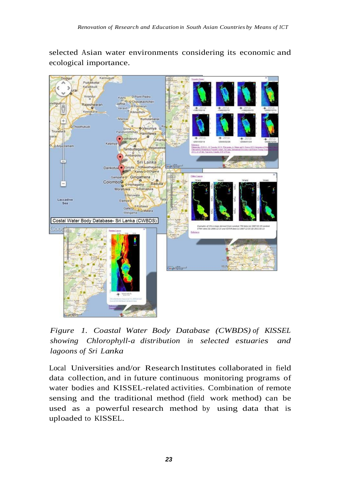selected Asian water environments considering its economic and ecological importance.



*Figure 1. Coastal Water Body Database (CWBDS) of KISSEL showing Chlorophyll-a distribution in selected estuaries and lagoons of Sri Lanka*

Local Universities and/or Research Institutes collaborated in field data collection, and in future continuous monitoring programs of water bodies and KISSEL-related activities. Combination of remote sensing and the traditional method (field work method) can be used as a powerful research method by using data that is uploaded to KISSEL.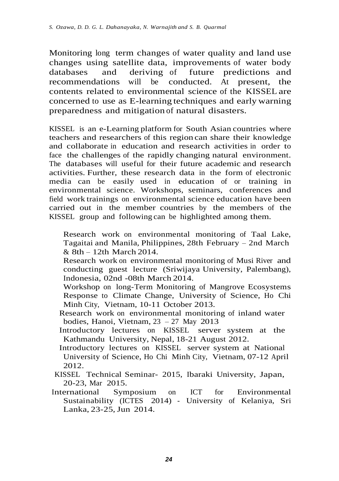Monitoring long term changes of water quality and land use changes using satellite data, improvements of water body databases and deriving of future predictions and recommendations will be conducted. At present, the contents related to environmental science of the KISSEL are concerned to use as E-learning techniques and early warning preparedness and mitigation of natural disasters.

KISSEL is an e-Learning platform for South Asian countries where teachers and researchers of this region can share their knowledge and collaborate in education and research activities in order to face the challenges of the rapidly changing natural environment. The databases will useful for their future academic and research activities. Further, these research data in the form of electronic media can be easily used in education of or training in environmental science. Workshops, seminars, conferences and field work trainings on environmental science education have been carried out in the member countries by the members of the KISSEL group and following can be highlighted among them.

- Research work on environmental monitoring of Taal Lake, Tagaitai and Manila, Philippines, 28th February – 2nd March  $& 8th - 12th March 2014.$
- Research work on environmental monitoring of Musi River and conducting guest lecture (Sriwijaya University, Palembang), Indonesia, 02nd -08th March 2014.
- Workshop on long-Term Monitoring of Mangrove Ecosystems Response to Climate Change, University of Science, Ho Chi Minh City, Vietnam, 10-11 October 2013.
- Research work on environmental monitoring of inland water bodies, Hanoi, Vietnam, 23 – 27 May 2013
- Introductory lectures on KISSEL server system at the Kathmandu University, Nepal, 18-21 August 2012.
- Introductory lectures on KISSEL server system at National University of Science, Ho Chi Minh City, Vietnam, 07-12 April 2012.
- KISSEL Technical Seminar- 2015, Ibaraki University, Japan, 20-23, Mar 2015.
- International Symposium on ICT for Environmental Sustainability (ICTES 2014) - University of Kelaniya, Sri Lanka, 23-25,Jun 2014.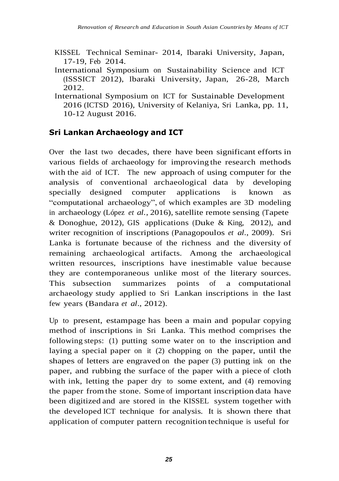- KISSEL Technical Seminar- 2014, Ibaraki University, Japan, 17-19, Feb 2014.
- International Symposium on Sustainability Science and ICT (ISSSICT 2012), Ibaraki University, Japan, 26-28, March 2012.
- International Symposium on ICT for Sustainable Development 2016 (ICTSD 2016), University of Kelaniya, Sri Lanka, pp. 11, 10-12 August 2016.

## **Sri Lankan Archaeology and ICT**

Over the last two decades, there have been significant efforts in various fields of archaeology for improving the research methods with the aid of ICT. The new approach of using computer for the analysis of conventional archaeological data by developing specially designed computer applications is known as "computational archaeology", of which examples are 3D modeling in archaeology (López *et al.*, 2016), satellite remote sensing (Tapete & Donoghue, 2012), GIS applications (Duke & King, 2012), and writer recognition of inscriptions (Panagopoulos *et al.*, 2009). Sri Lanka is fortunate because of the richness and the diversity of remaining archaeological artifacts. Among the archaeological written resources, inscriptions have inestimable value because they are contemporaneous unlike most of the literary sources. This subsection summarizes points of a computational archaeology study applied to Sri Lankan inscriptions in the last few years (Bandara *et al*., 2012).

Up to present, estampage has been a main and popular copying method of inscriptions in Sri Lanka. This method comprises the following steps: (1) putting some water on to the inscription and laying a special paper on it (2) chopping on the paper, until the shapes of letters are engraved on the paper (3) putting ink on the paper, and rubbing the surface of the paper with a piece of cloth with ink, letting the paper dry to some extent, and (4) removing the paper fromthe stone. Some of important inscription data have been digitized and are stored in the KISSEL system together with the developed ICT technique for analysis. It is shown there that application of computer pattern recognition technique is useful for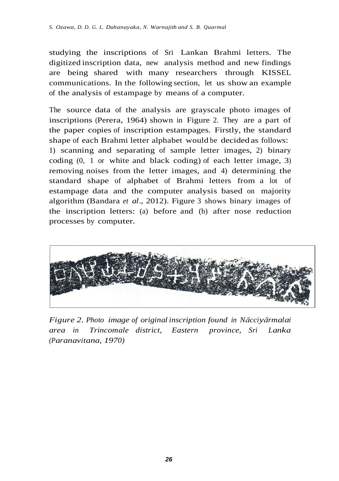studying the inscriptions of Sri Lankan Brahmi letters. The digitized inscription data, new analysis method and new findings are being shared with many researchers through KISSEL communications. In the following section, let us show an example of the analysis of estampage by means of a computer.

The source data of the analysis are grayscale photo images of inscriptions (Perera, 1964) shown in Figure 2. They are a part of the paper copies of inscription estampages. Firstly, the standard shape of each Brahmi letter alphabet would be decided as follows: 1) scanning and separating of sample letter images, 2) binary coding (0, 1 or white and black coding) of each letter image, 3) removing noises from the letter images, and 4) determining the standard shape of alphabet of Brahmi letters from a lot of estampage data and the computer analysis based on majority algorithm (Bandara *et al*., 2012). Figure 3 shows binary images of the inscription letters: (a) before and (b) after nose reduction processes by computer.



*Figure 2. Photo image of original inscription found in Nācciyārmalai area in Trincomale district, Eastern province, Sri Lanka (Paranavitana, 1970)*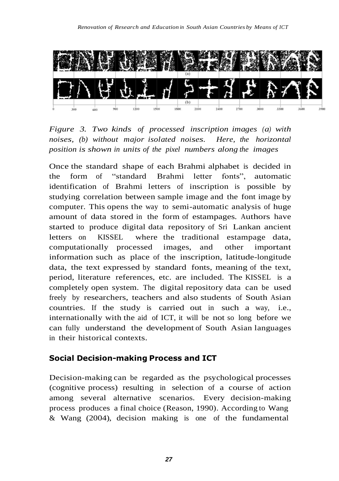

*Figure 3. Two kinds of processed inscription images (a) with noises, (b) without major isolated noises. Here, the horizontal position is shown in units of the pixel numbers along the images*

Once the standard shape of each Brahmi alphabet is decided in the form of "standard Brahmi letter fonts", automatic identification of Brahmi letters of inscription is possible by studying correlation between sample image and the font image by computer. This opens the way to semi-automatic analysis of huge amount of data stored in the form of estampages. Authors have started to produce digital data repository of Sri Lankan ancient letters on KISSEL where the traditional estampage data, computationally processed images, and other important information such as place of the inscription, latitude-longitude data, the text expressed by standard fonts, meaning of the text, period, literature references, etc. are included. The KISSEL is a completely open system. The digital repository data can be used freely by researchers, teachers and also students of South Asian countries. If the study is carried out in such a way, i.e., internationally with the aid of ICT, it will be not so long before we can fully understand the development of South Asian languages in their historical contexts.

# **Social Decision-making Process and ICT**

Decision-making can be regarded as the psychological processes (cognitive process) resulting in selection of a course of action among several alternative scenarios. Every decision-making process produces a final choice (Reason, 1990). According to Wang & Wang (2004), decision making is one of the fundamental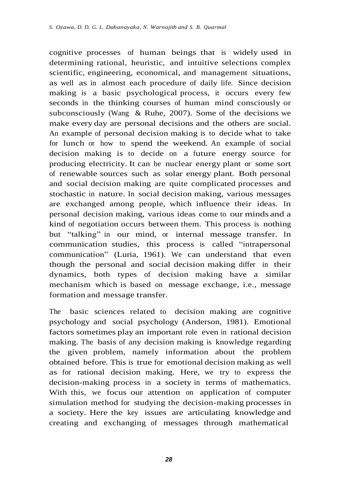cognitive processes of human beings that is widely used in determining rational, heuristic, and intuitive selections complex scientific, engineering, economical, and management situations, as well as in almost each procedure of daily life. Since decision making is a basic psychological process, it occurs every few seconds in the thinking courses of human mind consciously or subconsciously (Wang & Ruhe, 2007). Some of the decisions we make every day are personal decisions and the others are social. An example of personal decision making is to decide what to take for lunch or how to spend the weekend. An example of social decision making is to decide on a future energy source for producing electricity. It can be nuclear energy plant or some sort of renewable sources such as solar energy plant. Both personal and social decision making are quite complicated processes and stochastic in nature. In social decision making, various messages are exchanged among people, which influence their ideas. In personal decision making, various ideas come to our minds and a kind of negotiation occurs between them. This process is nothing but "talking" in our mind, or internal message transfer. In communication studies, this process is called "intrapersonal communication" (Luria, 1961). We can understand that even though the personal and social decision making differ in their dynamics, both types of decision making have a similar mechanism which is based on message exchange, i.e., message formation and message transfer.

The basic sciences related to decision making are cognitive psychology and social psychology (Anderson, 1981). Emotional factors sometimes play an important role even in rational decision making. The basis of any decision making is knowledge regarding the given problem, namely information about the problem obtained before. This is true for emotional decision making as well as for rational decision making. Here, we try to express the decision-making process in a society in terms of mathematics. With this, we focus our attention on application of computer simulation method for studying the decision-making processes in a society. Here the key issues are articulating knowledge and creating and exchanging of messages through mathematical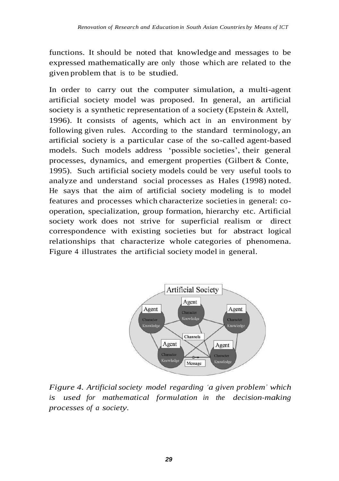functions. It should be noted that knowledge and messages to be expressed mathematically are only those which are related to the given problem that is to be studied.

In order to carry out the computer simulation, a multi-agent artificial society model was proposed. In general, an artificial society is a synthetic representation of a society (Epstein & Axtell, 1996). It consists of agents, which act in an environment by following given rules. According to the standard terminology, an artificial society is a particular case of the so-called agent-based models. Such models address 'possible societies', their general processes, dynamics, and emergent properties (Gilbert & Conte, 1995). Such artificial society models could be very useful tools to analyze and understand social processes as Hales (1998) noted. He says that the aim of artificial society modeling is to model features and processes which characterize societiesin general: cooperation, specialization, group formation, hierarchy etc. Artificial society work does not strive for superficial realism or direct correspondence with existing societies but for abstract logical relationships that characterize whole categories of phenomena. Figure 4 illustrates the artificial society model in general.



*Figure 4. Artificialsociety model regarding 'a given problem' which is used for mathematical formulation in the decision-making processes of a society.*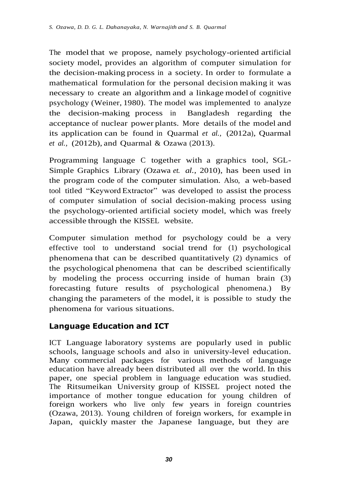The model that we propose, namely psychology-oriented artificial society model, provides an algorithm of computer simulation for the decision-making process in a society. In order to formulate a mathematical formulation for the personal decision making it was necessary to create an algorithm and a linkage model of cognitive psychology (Weiner, 1980). The model was implemented to analyze the decision-making process in Bangladesh regarding the acceptance of nuclear power plants. More details of the model and its application can be found in Quarmal *et al.,* (2012a), Quarmal *et al.,* (2012b), and Quarmal & Ozawa (2013).

Programming language C together with a graphics tool, SGL-Simple Graphics Library (Ozawa *et. al.*, 2010), has been used in the program code of the computer simulation. Also, a web-based tool titled "Keyword Extractor" was developed to assist the process of computer simulation of social decision-making process using the psychology-oriented artificial society model, which was freely accessible through the KISSEL website.

Computer simulation method for psychology could be a very effective tool to understand social trend for (1) psychological phenomena that can be described quantitatively (2) dynamics of the psychological phenomena that can be described scientifically by modeling the process occurring inside of human brain (3) forecasting future results of psychological phenomena.) By changing the parameters of the model, it is possible to study the phenomena for various situations.

## **Language Education and ICT**

ICT Language laboratory systems are popularly used in public schools, language schools and also in university-level education. Many commercial packages for various methods of language education have already been distributed all over the world. In this paper, one special problem in language education was studied. The Ritsumeikan University group of KISSEL project noted the importance of mother tongue education for young children of foreign workers who live only few years in foreign countries (Ozawa, 2013). Young children of foreign workers, for example in Japan, quickly master the Japanese language, but they are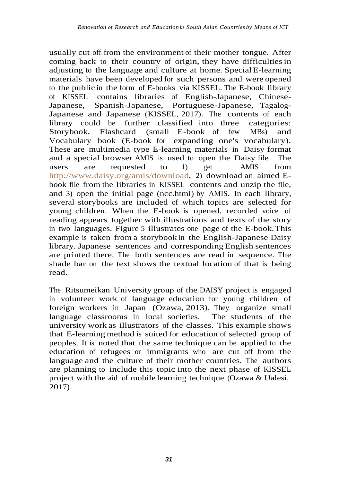usually cut off from the environment of their mother tongue. After coming back to their country of origin, they have difficultiesin adjusting to the language and culture at home. SpecialE-learning materials have been developed for such persons and were opened to the public in the form of E-books via KISSEL. The E-book library of KISSEL contains libraries of English-Japanese, Chinese-Japanese, Spanish-Japanese, Portuguese-Japanese, Tagalog-Japanese and Japanese (KISSEL, 2017). The contents of each library could be further classified into three categories: Storybook, Flashcard (small E-book of few MBs) and Vocabulary book (E-book for expanding one's vocabulary). These are multimedia type E-learning materials in Daisy format and a special browser AMIS is used to open the Daisy file. The users are requested to 1) get AMIS from [http://www.daisy.org/amis/download,](http://www.daisy.org/amis/download) 2) download an aimed Ebook file from the libraries in KISSEL contents and unzip the file, and 3) open the initial page (ncc.html) by AMIS. In each library, several storybooks are included of which topics are selected for young children. When the E-book is opened, recorded voice of reading appears together with illustrations and texts of the story in two languages. Figure 5 illustrates one page of the E-book. This example is taken from a storybook in the English-Japanese Daisy library. Japanese sentences and corresponding English sentences are printed there. The both sentences are read in sequence. The shade bar on the text shows the textual location of that is being read.

The Ritsumeikan University group of the DAISY project is engaged in volunteer work of language education for young children of foreign workers in Japan (Ozawa, 2013). They organize small language classrooms in local societies. The students of the university work as illustrators of the classes. This example shows that E-learningmethod is suited for education of selected group of peoples. It is noted that the same technique can be applied to the education of refugees or immigrants who are cut off from the language and the culture of their mother countries. The authors are planning to include this topic into the next phase of KISSEL project with the aid of mobile learning technique (Ozawa & Ualesi, 2017).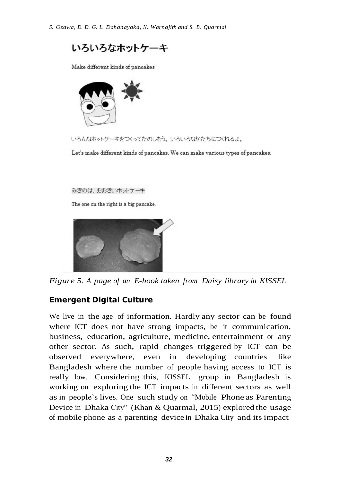

*Figure 5. A page of an E-book taken from Daisy library in KISSEL*

## **Emergent Digital Culture**

We live in the age of information. Hardly any sector can be found where ICT does not have strong impacts, be it communication, business, education, agriculture, medicine, entertainment or any other sector. As such, rapid changes triggered by ICT can be observed everywhere, even in developing countries like Bangladesh where the number of people having access to ICT is really low. Considering this, KISSEL group in Bangladesh is working on exploring the ICT impacts in different sectors as well as in people's lives. One such study on "Mobile Phone as Parenting Device in Dhaka City" (Khan & Quarmal, 2015) explored the usage of mobile phone as a parenting device in Dhaka City and its impact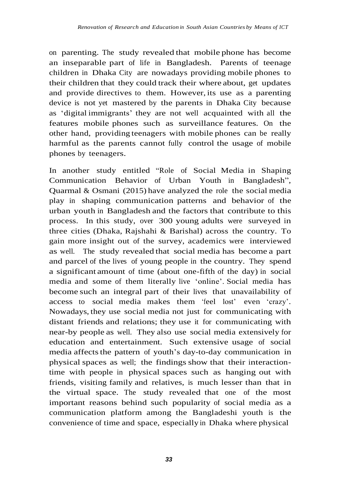on parenting. The study revealed that mobile phone has become an inseparable part of life in Bangladesh. Parents of teenage children in Dhaka City are nowadays providing mobile phones to their children that they could track their where about, get updates and provide directives to them. However, its use as a parenting device is not yet mastered by the parents in Dhaka City because as 'digital immigrants' they are not well acquainted with all the features mobile phones such as surveillance features. On the other hand, providing teenagers with mobile phones can be really harmful as the parents cannot fully control the usage of mobile phones by teenagers.

In another study entitled "Role of Social Media in Shaping Communication Behavior of Urban Youth in Bangladesh", Quarmal & Osmani (2015) have analyzed the role the social media play in shaping communication patterns and behavior of the urban youth in Bangladesh and the factors that contribute to this process. In this study, over 300 young adults were surveyed in three cities (Dhaka, Rajshahi & Barishal) across the country. To gain more insight out of the survey, academics were interviewed as well. The study revealed that social media has become a part and parcel of the lives of young people in the country. They spend a significant amount of time (about one-fifth of the day) in social media and some of them literally live 'online'. Social media has become such an integral part of their lives that unavailability of access to social media makes them 'feel lost' even 'crazy'. Nowadays, they use social media not just for communicating with distant friends and relations; they use it for communicating with near-by people as well. They also use social media extensively for education and entertainment. Such extensive usage of social media affects the pattern of youth's day-to-day communication in physical spaces as well; the findings show that their interactiontime with people in physical spaces such as hanging out with friends, visiting family and relatives, is much lesser than that in the virtual space. The study revealed that one of the most important reasons behind such popularity of social media as a communication platform among the Bangladeshi youth is the convenience of time and space, especially in Dhaka where physical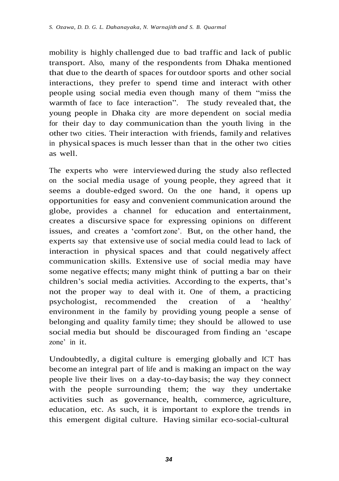mobility is highly challenged due to bad traffic and lack of public transport. Also, many of the respondents from Dhaka mentioned that due to the dearth of spaces for outdoor sports and other social interactions, they prefer to spend time and interact with other people using social media even though many of them "miss the warmth of face to face interaction". The study revealed that, the young people in Dhaka city are more dependent on social media for their day to day communication than the youth living in the other two cities. Their interaction with friends, family and relatives in physicalspaces is much lesser than that in the other two cities as well.

The experts who were interviewed during the study also reflected on the social media usage of young people, they agreed that it seems a double-edged sword. On the one hand, it opens up opportunities for easy and convenient communication around the globe, provides a channel for education and entertainment, creates a discursive space for expressing opinions on different issues, and creates a 'comfort zone'. But, on the other hand, the experts say that extensive use of social media could lead to lack of interaction in physical spaces and that could negatively affect communication skills. Extensive use of social media may have some negative effects; many might think of putting a bar on their children's social media activities. According to the experts, that's not the proper way to deal with it. One of them, a practicing psychologist, recommended the creation of a 'healthy' environment in the family by providing young people a sense of belonging and quality family time; they should be allowed to use social media but should be discouraged from finding an 'escape zone' in it.

Undoubtedly, a digital culture is emerging globally and ICT has become an integral part of life and is making an impact on the way people live their lives on a day-to-day basis; the way they connect with the people surrounding them; the way they undertake activities such as governance, health, commerce, agriculture, education, etc. As such, it is important to explore the trends in this emergent digital culture. Having similar eco-social-cultural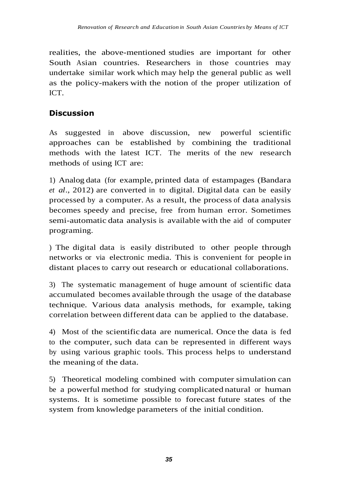realities, the above-mentioned studies are important for other South Asian countries. Researchers in those countries may undertake similar work which may help the general public as well as the policy-makers with the notion of the proper utilization of ICT.

# **Discussion**

As suggested in above discussion, new powerful scientific approaches can be established by combining the traditional methods with the latest ICT. The merits of the new research methods of using ICT are:

1) Analog data (for example, printed data of estampages (Bandara *et al*., 2012) are converted in to digital. Digital data can be easily processed by a computer. As a result, the process of data analysis becomes speedy and precise, free from human error. Sometimes semi-automatic data analysis is available with the aid of computer programing.

) The digital data is easily distributed to other people through networks or via electronic media. This is convenient for people in distant places to carry out research or educational collaborations.

3) The systematic management of huge amount of scientific data accumulated becomes available through the usage of the database technique. Various data analysis methods, for example, taking correlation between different data can be applied to the database.

4) Most of the scientificdata are numerical. Once the data is fed to the computer, such data can be represented in different ways by using various graphic tools. This process helps to understand the meaning of the data.

5) Theoretical modeling combined with computer simulation can be a powerful method for studying complicated natural or human systems. It is sometime possible to forecast future states of the system from knowledge parameters of the initial condition.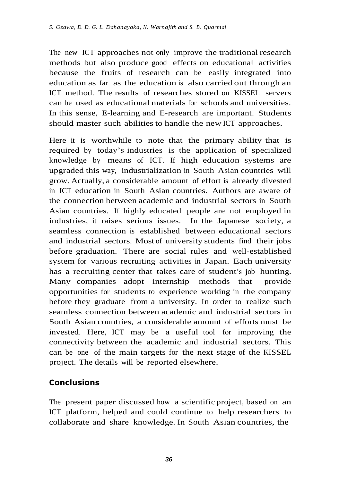The new ICT approaches not only improve the traditional research methods but also produce good effects on educational activities because the fruits of research can be easily integrated into education as far as the education is also carried out through an ICT method. The results of researches stored on KISSEL servers can be used as educational materials for schools and universities. In this sense, E-learning and E-research are important. Students should master such abilities to handle the new ICT approaches.

Here it is worthwhile to note that the primary ability that is required by today's industries is the application of specialized knowledge by means of ICT. If high education systems are upgraded this way, industrialization in South Asian countries will grow. Actually, a considerable amount of effort is already divested in ICT education in South Asian countries. Authors are aware of the connection between academic and industrial sectors in South Asian countries. If highly educated people are not employed in industries, it raises serious issues. In the Japanese society, a seamless connection is established between educational sectors and industrial sectors. Most of university students find their jobs before graduation. There are social rules and well-established system for various recruiting activities in Japan. Each university has a recruiting center that takes care of student's job hunting. Many companies adopt internship methods that provide opportunities for students to experience working in the company before they graduate from a university. In order to realize such seamless connection between academic and industrial sectors in South Asian countries, a considerable amount of efforts must be invested. Here, ICT may be a useful tool for improving the connectivity between the academic and industrial sectors. This can be one of the main targets for the next stage of the KISSEL project. The details will be reported elsewhere.

## **Conclusions**

The present paper discussed how a scientific project, based on an ICT platform, helped and could continue to help researchers to collaborate and share knowledge. In South Asian countries, the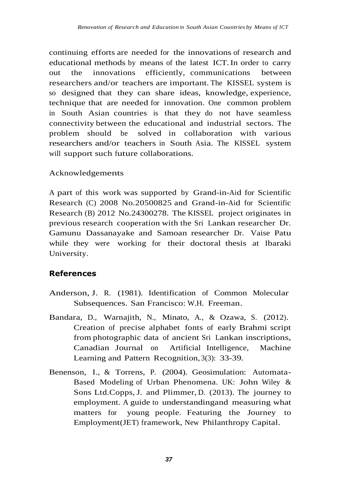continuing efforts are needed for the innovations of research and educational methods by means of the latest ICT.In order to carry out the innovations efficiently, communications between researchers and/or teachers are important. The KISSEL system is so designed that they can share ideas, knowledge, experience, technique that are needed for innovation. One common problem in South Asian countries is that they do not have seamless connectivity between the educational and industrial sectors. The problem should be solved in collaboration with various researchers and/or teachers in South Asia. The KISSEL system will support such future collaborations.

#### Acknowledgements

A part of this work was supported by Grand-in-Aid for Scientific Research (C) 2008 No.20500825 and Grand-in-Aid for Scientific Research (B) 2012 No.24300278. The KISSEL project originates in previous research cooperation with the Sri Lankan researcher Dr. Gamunu Dassanayake and Samoan researcher Dr. Vaise Patu while they were working for their doctoral thesis at Ibaraki University.

#### **References**

- Anderson, J. R. (1981). Identification of Common Molecular Subsequences. San Francisco: W.H. Freeman.
- Bandara, D., Warnajith, N., Minato, A., & Ozawa, S. (2012). Creation of precise alphabet fonts of early Brahmi script from photographic data of ancient Sri Lankan inscriptions, Canadian Journal on Artificial Intelligence, Machine Learning and Pattern Recognition, 3(3): 33-39.
- Benenson, I., & Torrens, P. (2004). Geosimulation: Automata-Based Modeling of Urban Phenomena. UK: John Wiley & Sons Ltd.Copps, J. and Plimmer, D. (2013). The journey to employment. A guide to understandingand measuring what matters for young people. Featuring the Journey to Employment(JET) framework*,* New Philanthropy Capital.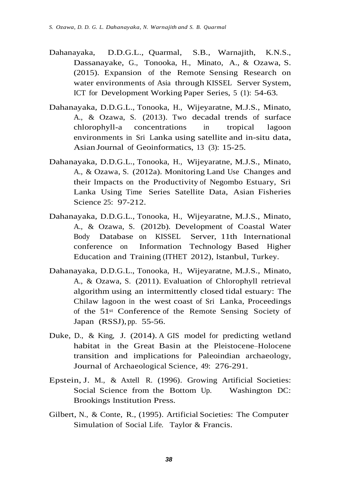- Dahanayaka, D.D.G.L., Quarmal, S.B., Warnajith, K.N.S., Dassanayake, G., Tonooka, H., Minato, A., & Ozawa, S. (2015). Expansion of the Remote Sensing Research on water environments of Asia through KISSEL Server System, ICT for Development Working Paper Series, 5 (1): 54-63.
- Dahanayaka, D.D.G.L., Tonooka, H., Wijeyaratne, M.J.S., Minato, A., & Ozawa, S. (2013). Two decadal trends of surface chlorophyll-a concentrations in tropical lagoon environments in Sri Lanka using satellite and in-situ data, Asian Journal of Geoinformatics, 13 (3): 15-25.
- Dahanayaka, D.D.G.L., Tonooka, H., Wijeyaratne, M.J.S., Minato, A., & Ozawa, S. (2012a). Monitoring Land Use Changes and their Impacts on the Productivity of Negombo Estuary, Sri Lanka Using Time Series Satellite Data, Asian Fisheries Science 25: 97-212.
- Dahanayaka, D.D.G.L., Tonooka, H., Wijeyaratne, M.J.S., Minato, A., & Ozawa, S. (2012b). Development of Coastal Water Body Database on KISSEL Server, 11th International conference on Information Technology Based Higher Education and Training (ITHET 2012), Istanbul, Turkey.
- Dahanayaka, D.D.G.L., Tonooka, H., Wijeyaratne, M.J.S., Minato, A., & Ozawa, S. (2011). Evaluation of Chlorophyll retrieval algorithm using an intermittently closed tidal estuary: The Chilaw lagoon in the west coast of Sri Lanka, Proceedings of the 51st Conference of the Remote Sensing Society of Japan (RSSJ), pp. 55-56.
- Duke, D., & King, J. (2014). A GIS model for predicting wetland habitat in the Great Basin at the Pleistocene–Holocene transition and implications for Paleoindian archaeology, Journal of Archaeological Science, 49: 276-291.
- Epstein, J. M., & Axtell R. (1996). Growing Artificial Societies: Social Science from the Bottom Up. Washington DC: Brookings Institution Press.
- Gilbert, N., & Conte, R., (1995). Artificial Societies: The Computer Simulation of Social Life. Taylor & Francis.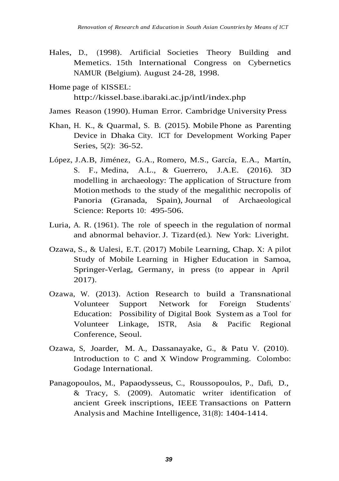- Hales, D., (1998). Artificial Societies Theory Building and Memetics. 15th International Congress on Cybernetics NAMUR (Belgium). August 24-28, 1998.
- Home page of KISSEL: <http://kissel.base.ibaraki.ac.jp/intl/index.php>
- James Reason (1990). Human Error. Cambridge University Press
- Khan, H. K., & Quarmal, S. B. (2015). Mobile Phone as Parenting Device in Dhaka City. ICT for Development Working Paper Series, 5(2): 36-52.
- [López,](http://en.ustc.findplus.cn/?h=search_list&query=AR:%22L%C3%B3pez%2C%20J%2EA%2E%20Benavides%22) J.A.B, [Jiménez, G.A.,](http://en.ustc.findplus.cn/?h=search_list&query=AR:%22Jim%C3%A9nez%2C%20G%2E%20Aranda%22) [Romero,](http://en.ustc.findplus.cn/?h=search_list&query=AR:%22Romero%2C%20M%2E%20S%C3%A1nchez%22) M.S., [García,](http://en.ustc.findplus.cn/?h=search_list&query=AR:%22Garc%C3%ADa%2C%20E%2E%20Alarc%C3%B3n%22) E.A., [Martín,](http://en.ustc.findplus.cn/?h=search_list&query=AR:%22Mart%C3%ADn%2C%20S%2E%20Fern%C3%A1ndez%22) S. [F.,](http://en.ustc.findplus.cn/?h=search_list&query=AR:%22Mart%C3%ADn%2C%20S%2E%20Fern%C3%A1ndez%22) [Medina, A.L.,](http://en.ustc.findplus.cn/?h=search_list&query=AR:%22Medina%2C%20A%2E%20Lozano%22) & [Guerrero, J.A.E.](http://en.ustc.findplus.cn/?h=search_list&query=AR:%22Guerrero%2C%20J%2EA%2E%20Esquivel%22) (2016). 3D modelling in archaeology: The application of Structure from Motion methods to the study of the megalithic necropolis of Panoria (Granada, Spain), Journal of Archaeological Science: Reports 10: 495-506.
- Luria, A. R. (1961). The role of speech in the regulation of normal and abnormal behavior. J. Tizard (ed.). New York: Liveright.
- Ozawa, S., & Ualesi, E.T. (2017) Mobile Learning, Chap. X: A pilot Study of Mobile Learning in Higher Education in Samoa, Springer-Verlag, Germany, in press (to appear in April 2017).
- Ozawa, W. (2013). Action Research to build a Transnational Volunteer Support Network for Foreign Students' Education: Possibility of Digital Book System as a Tool for Volunteer Linkage, ISTR, Asia & Pacific Regional Conference, Seoul.
- Ozawa, S, Joarder, M. A., Dassanayake, G., & Patu V. (2010). Introduction to C and X Window Programming. Colombo: Godage International.
- Panagopoulos, M., Papaodysseus, C., Roussopoulos, P., Dafi, D., & Tracy, S. (2009). Automatic writer identification of ancient Greek inscriptions, IEEE Transactions on Pattern Analysis and Machine Intelligence, 31(8): 1404-1414.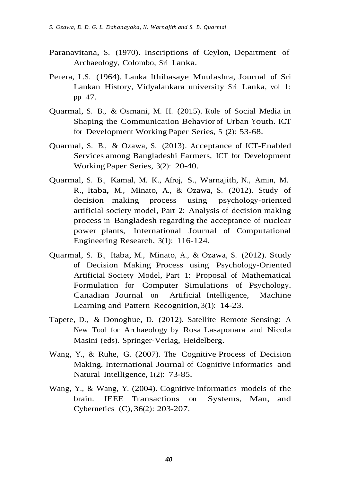- Paranavitana, S. (1970). Inscriptions of Ceylon, Department of Archaeology, Colombo, Sri Lanka.
- Perera, L.S. (1964). Lanka Ithihasaye Muulashra, Journal of Sri Lankan History, Vidyalankara university Sri Lanka, vol 1: pp 47.
- Quarmal, S. B., & Osmani, M. H. (2015). Role of Social Media in Shaping the Communication Behavior of Urban Youth. ICT for Development Working Paper Series, 5 (2): 53-68.
- Quarmal, S. B., & Ozawa, S. (2013). Acceptance of ICT-Enabled Services among Bangladeshi Farmers, ICT for Development Working Paper Series, 3(2): 20-40.
- Quarmal, S. B., Kamal, M. K., Afroj, S., Warnajith, N., Amin, M. R., Itaba, M., Minato, A., & Ozawa, S. (2012). Study of decision making process using psychology-oriented artificial society model, Part 2: Analysis of decision making process in Bangladesh regarding the acceptance of nuclear power plants, International Journal of Computational Engineering Research, 3(1): 116-124.
- Quarmal, S. B., Itaba, M., Minato, A., & Ozawa, S. (2012). Study of Decision Making Process using Psychology-Oriented Artificial Society Model, Part 1: Proposal of Mathematical Formulation for Computer Simulations of Psychology. Canadian Journal on Artificial Intelligence, Machine Learning and Pattern Recognition, 3(1): 14-23.
- Tapete, D., & Donoghue, D. (2012). Satellite Remote Sensing: A New Tool for Archaeology by Rosa Lasaponara and Nicola Masini (eds). Springer‐Verlag, Heidelberg.
- Wang, Y., & Ruhe, G. (2007). The Cognitive Process of Decision Making. International Journal of Cognitive Informatics and Natural Intelligence, 1(2): 73-85.
- Wang, Y., & Wang, Y. (2004). Cognitive informatics models of the brain. IEEE Transactions on Systems, Man, and Cybernetics (C), 36(2): 203-207.